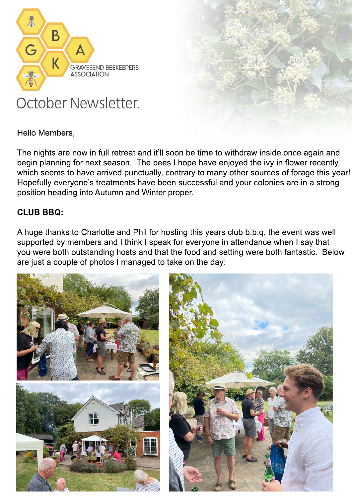

## October Newsletter.

Hello Members,

The nights are now in full retreat and it'll soon be time to withdraw inside once again and begin planning for next season. The bees I hope have enjoyed the ivy in flower recently, which seems to have arrived punctually, contrary to many other sources of forage this year! Hopefully everyone's treatments have been successful and your colonies are in a strong position heading into Autumn and Winter proper.

## **CLUB BBQ:**

A huge thanks to Charlotte and Phil for hosting this years club b.b.q, the event was well supported by members and I think I speak for everyone in attendance when I say that you were both outstanding hosts and that the food and setting were both fantastic. Below are just a couple of photos I managed to take on the day: